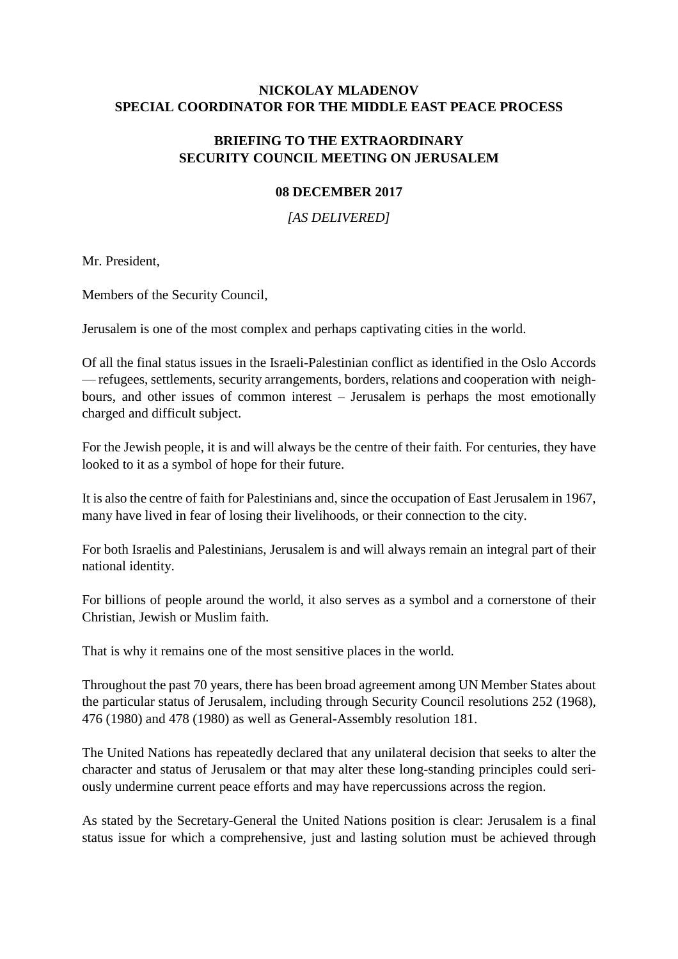# **NICKOLAY MLADENOV SPECIAL COORDINATOR FOR THE MIDDLE EAST PEACE PROCESS**

# **BRIEFING TO THE EXTRAORDINARY SECURITY COUNCIL MEETING ON JERUSALEM**

## **08 DECEMBER 2017**

*[AS DELIVERED]*

Mr. President,

Members of the Security Council,

Jerusalem is one of the most complex and perhaps captivating cities in the world.

Of all the final status issues in the Israeli-Palestinian conflict as identified in the Oslo Accords — refugees, settlements, security arrangements, borders, relations and cooperation with neighbours, and other issues of common interest – Jerusalem is perhaps the most emotionally charged and difficult subject.

For the Jewish people, it is and will always be the centre of their faith. For centuries, they have looked to it as a symbol of hope for their future.

It is also the centre of faith for Palestinians and, since the occupation of East Jerusalem in 1967, many have lived in fear of losing their livelihoods, or their connection to the city.

For both Israelis and Palestinians, Jerusalem is and will always remain an integral part of their national identity.

For billions of people around the world, it also serves as a symbol and a cornerstone of their Christian, Jewish or Muslim faith.

That is why it remains one of the most sensitive places in the world.

Throughout the past 70 years, there has been broad agreement among UN Member States about the particular status of Jerusalem, including through Security Council resolutions 252 (1968), 476 (1980) and 478 (1980) as well as General-Assembly resolution 181.

The United Nations has repeatedly declared that any unilateral decision that seeks to alter the character and status of Jerusalem or that may alter these long-standing principles could seriously undermine current peace efforts and may have repercussions across the region.

As stated by the Secretary-General the United Nations position is clear: Jerusalem is a final status issue for which a comprehensive, just and lasting solution must be achieved through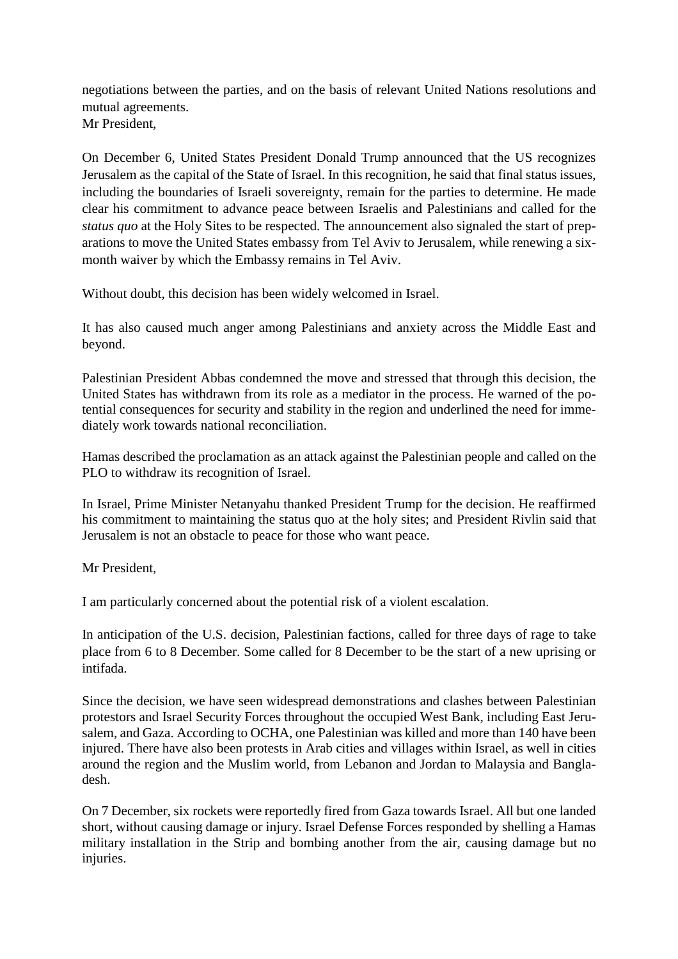negotiations between the parties, and on the basis of relevant United Nations resolutions and mutual agreements. Mr President,

On December 6, United States President Donald Trump announced that the US recognizes Jerusalem as the capital of the State of Israel. In this recognition, he said that final status issues, including the boundaries of Israeli sovereignty, remain for the parties to determine. He made clear his commitment to advance peace between Israelis and Palestinians and called for the *status quo* at the Holy Sites to be respected. The announcement also signaled the start of preparations to move the United States embassy from Tel Aviv to Jerusalem, while renewing a sixmonth waiver by which the Embassy remains in Tel Aviv.

Without doubt, this decision has been widely welcomed in Israel.

It has also caused much anger among Palestinians and anxiety across the Middle East and beyond.

Palestinian President Abbas condemned the move and stressed that through this decision, the United States has withdrawn from its role as a mediator in the process. He warned of the potential consequences for security and stability in the region and underlined the need for immediately work towards national reconciliation.

Hamas described the proclamation as an attack against the Palestinian people and called on the PLO to withdraw its recognition of Israel.

In Israel, Prime Minister Netanyahu thanked President Trump for the decision. He reaffirmed his commitment to maintaining the status quo at the holy sites; and President Rivlin said that Jerusalem is not an obstacle to peace for those who want peace.

Mr President,

I am particularly concerned about the potential risk of a violent escalation.

In anticipation of the U.S. decision, Palestinian factions, called for three days of rage to take place from 6 to 8 December. Some called for 8 December to be the start of a new uprising or intifada.

Since the decision, we have seen widespread demonstrations and clashes between Palestinian protestors and Israel Security Forces throughout the occupied West Bank, including East Jerusalem, and Gaza. According to OCHA, one Palestinian was killed and more than 140 have been injured. There have also been protests in Arab cities and villages within Israel, as well in cities around the region and the Muslim world, from Lebanon and Jordan to Malaysia and Bangladesh.

On 7 December, six rockets were reportedly fired from Gaza towards Israel. All but one landed short, without causing damage or injury. Israel Defense Forces responded by shelling a Hamas military installation in the Strip and bombing another from the air, causing damage but no injuries.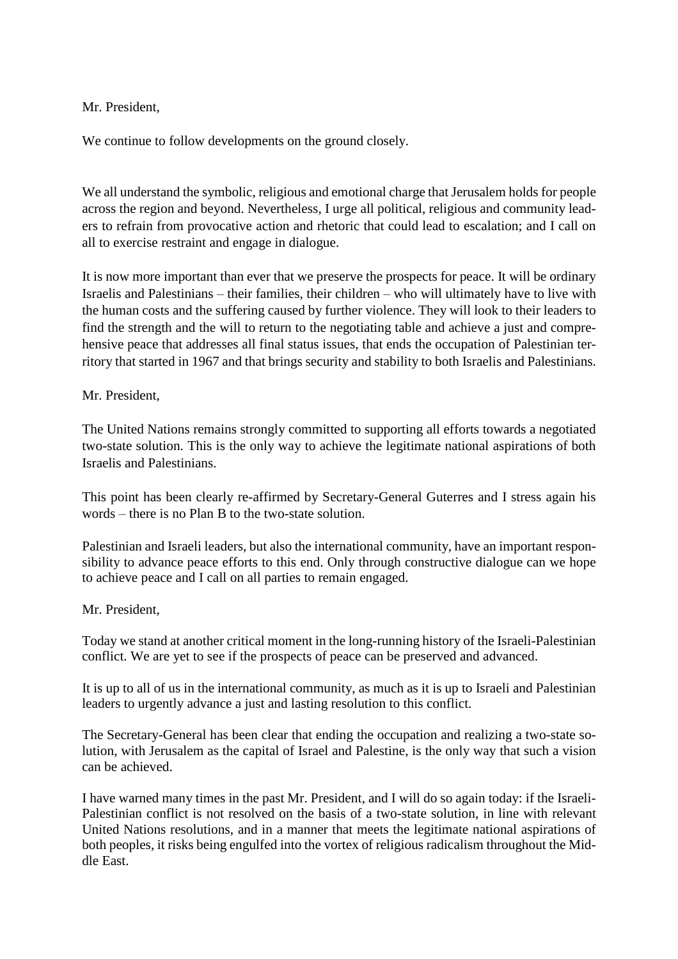Mr. President,

We continue to follow developments on the ground closely.

We all understand the symbolic, religious and emotional charge that Jerusalem holds for people across the region and beyond. Nevertheless, I urge all political, religious and community leaders to refrain from provocative action and rhetoric that could lead to escalation; and I call on all to exercise restraint and engage in dialogue.

It is now more important than ever that we preserve the prospects for peace. It will be ordinary Israelis and Palestinians – their families, their children – who will ultimately have to live with the human costs and the suffering caused by further violence. They will look to their leaders to find the strength and the will to return to the negotiating table and achieve a just and comprehensive peace that addresses all final status issues, that ends the occupation of Palestinian territory that started in 1967 and that brings security and stability to both Israelis and Palestinians.

### Mr. President,

The United Nations remains strongly committed to supporting all efforts towards a negotiated two-state solution. This is the only way to achieve the legitimate national aspirations of both Israelis and Palestinians.

This point has been clearly re-affirmed by Secretary-General Guterres and I stress again his words – there is no Plan B to the two-state solution.

Palestinian and Israeli leaders, but also the international community, have an important responsibility to advance peace efforts to this end. Only through constructive dialogue can we hope to achieve peace and I call on all parties to remain engaged.

### Mr. President,

Today we stand at another critical moment in the long-running history of the Israeli-Palestinian conflict. We are yet to see if the prospects of peace can be preserved and advanced.

It is up to all of us in the international community, as much as it is up to Israeli and Palestinian leaders to urgently advance a just and lasting resolution to this conflict.

The Secretary-General has been clear that ending the occupation and realizing a two-state solution, with Jerusalem as the capital of Israel and Palestine, is the only way that such a vision can be achieved.

I have warned many times in the past Mr. President, and I will do so again today: if the Israeli-Palestinian conflict is not resolved on the basis of a two-state solution, in line with relevant United Nations resolutions, and in a manner that meets the legitimate national aspirations of both peoples, it risks being engulfed into the vortex of religious radicalism throughout the Middle East.